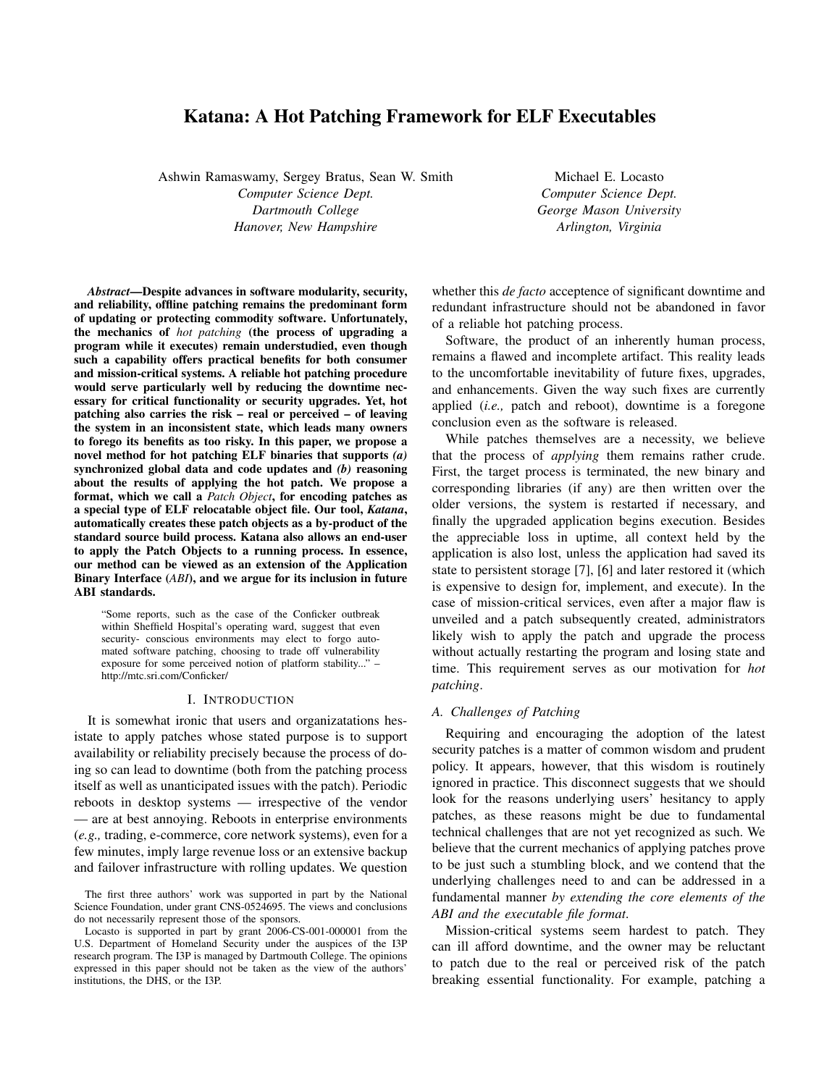# Katana: A Hot Patching Framework for ELF Executables

Ashwin Ramaswamy, Sergey Bratus, Sean W. Smith *Computer Science Dept. Dartmouth College Hanover, New Hampshire*

Michael E. Locasto *Computer Science Dept. George Mason University Arlington, Virginia*

*Abstract*—Despite advances in software modularity, security, and reliability, offline patching remains the predominant form of updating or protecting commodity software. Unfortunately, the mechanics of *hot patching* (the process of upgrading a program while it executes) remain understudied, even though such a capability offers practical benefits for both consumer and mission-critical systems. A reliable hot patching procedure would serve particularly well by reducing the downtime necessary for critical functionality or security upgrades. Yet, hot patching also carries the risk – real or perceived – of leaving the system in an inconsistent state, which leads many owners to forego its benefits as too risky. In this paper, we propose a novel method for hot patching ELF binaries that supports *(a)* synchronized global data and code updates and *(b)* reasoning about the results of applying the hot patch. We propose a format, which we call a *Patch Object*, for encoding patches as a special type of ELF relocatable object file. Our tool, *Katana*, automatically creates these patch objects as a by-product of the standard source build process. Katana also allows an end-user to apply the Patch Objects to a running process. In essence, our method can be viewed as an extension of the Application Binary Interface (*ABI*), and we argue for its inclusion in future ABI standards.

"Some reports, such as the case of the Conficker outbreak within Sheffield Hospital's operating ward, suggest that even security- conscious environments may elect to forgo automated software patching, choosing to trade off vulnerability exposure for some perceived notion of platform stability..." – http://mtc.sri.com/Conficker/

#### I. INTRODUCTION

It is somewhat ironic that users and organizatations hesistate to apply patches whose stated purpose is to support availability or reliability precisely because the process of doing so can lead to downtime (both from the patching process itself as well as unanticipated issues with the patch). Periodic reboots in desktop systems — irrespective of the vendor — are at best annoying. Reboots in enterprise environments (*e.g.,* trading, e-commerce, core network systems), even for a few minutes, imply large revenue loss or an extensive backup and failover infrastructure with rolling updates. We question whether this *de facto* acceptence of significant downtime and redundant infrastructure should not be abandoned in favor of a reliable hot patching process.

Software, the product of an inherently human process, remains a flawed and incomplete artifact. This reality leads to the uncomfortable inevitability of future fixes, upgrades, and enhancements. Given the way such fixes are currently applied (*i.e.,* patch and reboot), downtime is a foregone conclusion even as the software is released.

While patches themselves are a necessity, we believe that the process of *applying* them remains rather crude. First, the target process is terminated, the new binary and corresponding libraries (if any) are then written over the older versions, the system is restarted if necessary, and finally the upgraded application begins execution. Besides the appreciable loss in uptime, all context held by the application is also lost, unless the application had saved its state to persistent storage [7], [6] and later restored it (which is expensive to design for, implement, and execute). In the case of mission-critical services, even after a major flaw is unveiled and a patch subsequently created, administrators likely wish to apply the patch and upgrade the process without actually restarting the program and losing state and time. This requirement serves as our motivation for *hot patching*.

#### *A. Challenges of Patching*

Requiring and encouraging the adoption of the latest security patches is a matter of common wisdom and prudent policy. It appears, however, that this wisdom is routinely ignored in practice. This disconnect suggests that we should look for the reasons underlying users' hesitancy to apply patches, as these reasons might be due to fundamental technical challenges that are not yet recognized as such. We believe that the current mechanics of applying patches prove to be just such a stumbling block, and we contend that the underlying challenges need to and can be addressed in a fundamental manner *by extending the core elements of the ABI and the executable file format*.

Mission-critical systems seem hardest to patch. They can ill afford downtime, and the owner may be reluctant to patch due to the real or perceived risk of the patch breaking essential functionality. For example, patching a

The first three authors' work was supported in part by the National Science Foundation, under grant CNS-0524695. The views and conclusions do not necessarily represent those of the sponsors.

Locasto is supported in part by grant 2006-CS-001-000001 from the U.S. Department of Homeland Security under the auspices of the I3P research program. The I3P is managed by Dartmouth College. The opinions expressed in this paper should not be taken as the view of the authors' institutions, the DHS, or the I3P.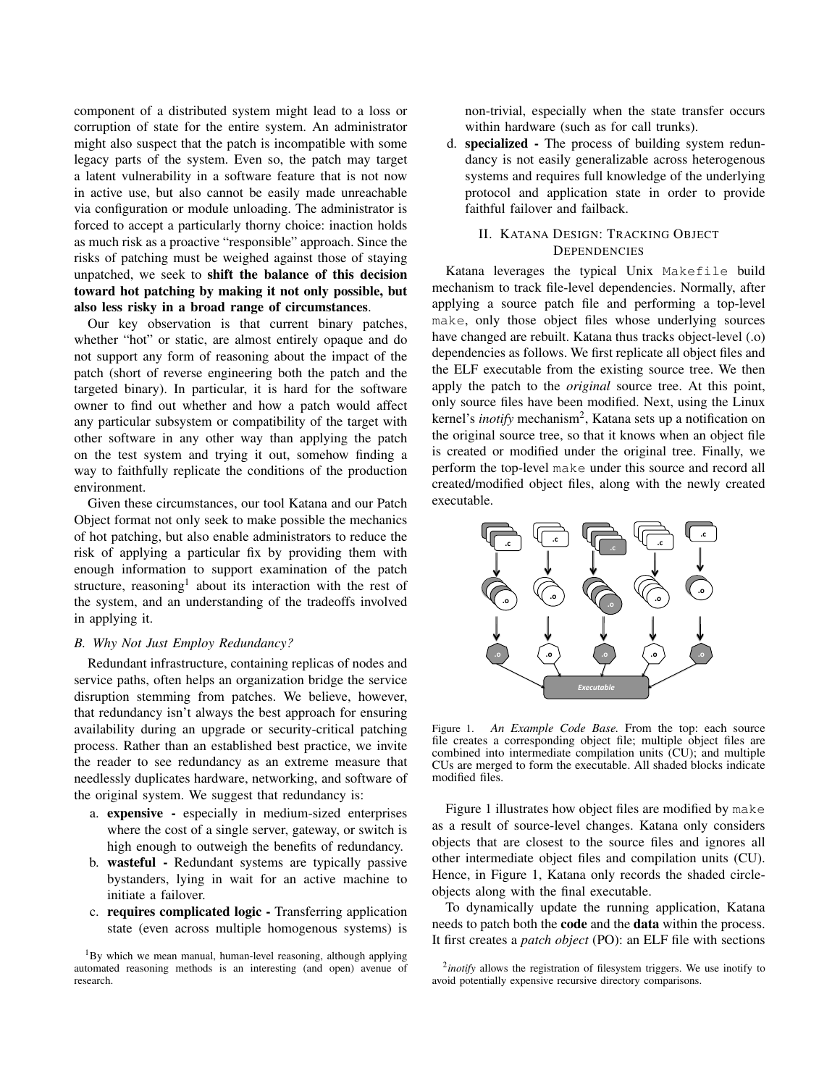component of a distributed system might lead to a loss or corruption of state for the entire system. An administrator might also suspect that the patch is incompatible with some legacy parts of the system. Even so, the patch may target a latent vulnerability in a software feature that is not now in active use, but also cannot be easily made unreachable via configuration or module unloading. The administrator is forced to accept a particularly thorny choice: inaction holds as much risk as a proactive "responsible" approach. Since the risks of patching must be weighed against those of staying unpatched, we seek to shift the balance of this decision toward hot patching by making it not only possible, but also less risky in a broad range of circumstances.

Our key observation is that current binary patches, whether "hot" or static, are almost entirely opaque and do not support any form of reasoning about the impact of the patch (short of reverse engineering both the patch and the targeted binary). In particular, it is hard for the software owner to find out whether and how a patch would affect any particular subsystem or compatibility of the target with other software in any other way than applying the patch on the test system and trying it out, somehow finding a way to faithfully replicate the conditions of the production environment.

Given these circumstances, our tool Katana and our Patch Object format not only seek to make possible the mechanics of hot patching, but also enable administrators to reduce the risk of applying a particular fix by providing them with enough information to support examination of the patch structure, reasoning<sup>1</sup> about its interaction with the rest of the system, and an understanding of the tradeoffs involved in applying it.

## *B. Why Not Just Employ Redundancy?*

Redundant infrastructure, containing replicas of nodes and service paths, often helps an organization bridge the service disruption stemming from patches. We believe, however, that redundancy isn't always the best approach for ensuring availability during an upgrade or security-critical patching process. Rather than an established best practice, we invite the reader to see redundancy as an extreme measure that needlessly duplicates hardware, networking, and software of the original system. We suggest that redundancy is:

- a. expensive especially in medium-sized enterprises where the cost of a single server, gateway, or switch is high enough to outweigh the benefits of redundancy.
- b. wasteful Redundant systems are typically passive bystanders, lying in wait for an active machine to initiate a failover.
- c. requires complicated logic Transferring application state (even across multiple homogenous systems) is

 $1_{\text{By}}$  which we mean manual, human-level reasoning, although applying automated reasoning methods is an interesting (and open) avenue of research.

non-trivial, especially when the state transfer occurs within hardware (such as for call trunks).

d. specialized - The process of building system redundancy is not easily generalizable across heterogenous systems and requires full knowledge of the underlying protocol and application state in order to provide faithful failover and failback.

# II. KATANA DESIGN: TRACKING OBJECT **DEPENDENCIES**

Katana leverages the typical Unix Makefile build mechanism to track file-level dependencies. Normally, after applying a source patch file and performing a top-level make, only those object files whose underlying sources have changed are rebuilt. Katana thus tracks object-level (.o) dependencies as follows. We first replicate all object files and the ELF executable from the existing source tree. We then apply the patch to the *original* source tree. At this point, only source files have been modified. Next, using the Linux kernel's *inotify* mechanism<sup>2</sup>, Katana sets up a notification on the original source tree, so that it knows when an object file is created or modified under the original tree. Finally, we perform the top-level make under this source and record all created/modified object files, along with the newly created executable.



Figure 1. *An Example Code Base.* From the top: each source file creates a corresponding object file; multiple object files are combined into intermediate compilation units (CU); and multiple CUs are merged to form the executable. All shaded blocks indicate modified files.

Figure 1 illustrates how object files are modified by make as a result of source-level changes. Katana only considers objects that are closest to the source files and ignores all other intermediate object files and compilation units (CU). Hence, in Figure 1, Katana only records the shaded circleobjects along with the final executable.

To dynamically update the running application, Katana needs to patch both the code and the data within the process. It first creates a *patch object* (PO): an ELF file with sections

<sup>&</sup>lt;sup>2</sup>*inotify* allows the registration of filesystem triggers. We use inotify to avoid potentially expensive recursive directory comparisons.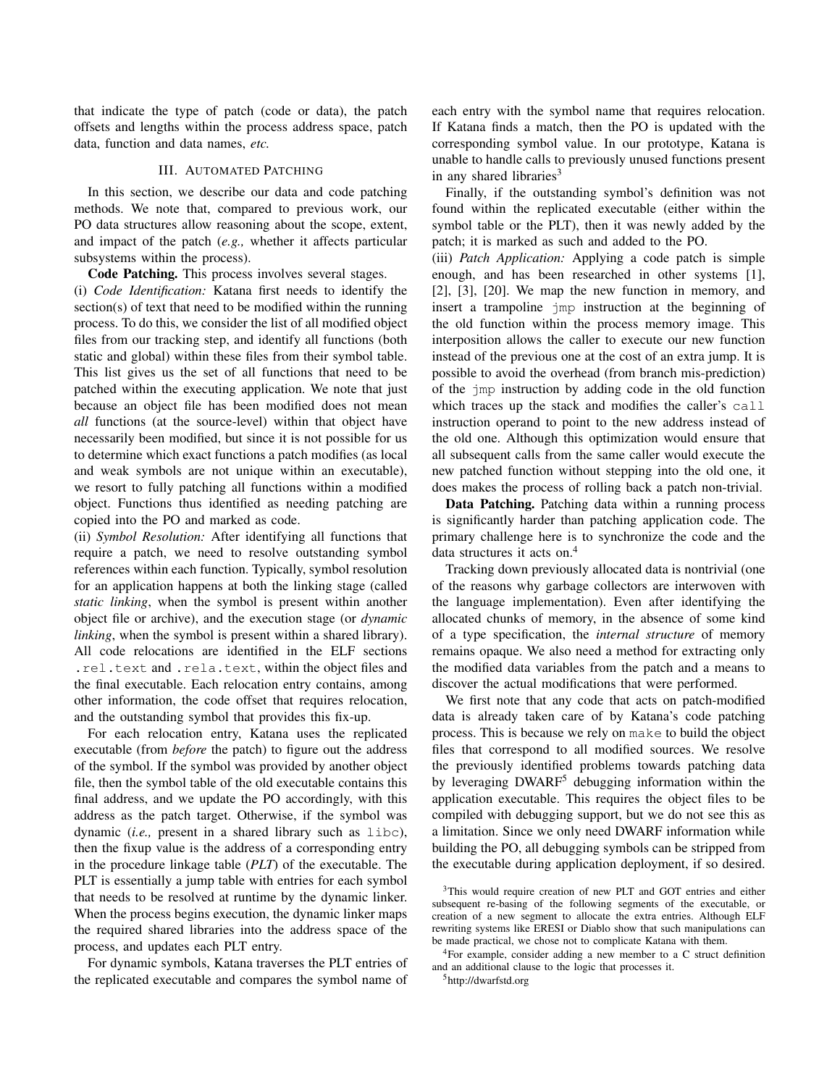that indicate the type of patch (code or data), the patch offsets and lengths within the process address space, patch data, function and data names, *etc.*

#### III. AUTOMATED PATCHING

In this section, we describe our data and code patching methods. We note that, compared to previous work, our PO data structures allow reasoning about the scope, extent, and impact of the patch (*e.g.,* whether it affects particular subsystems within the process).

Code Patching. This process involves several stages.

(i) *Code Identification:* Katana first needs to identify the section(s) of text that need to be modified within the running process. To do this, we consider the list of all modified object files from our tracking step, and identify all functions (both static and global) within these files from their symbol table. This list gives us the set of all functions that need to be patched within the executing application. We note that just because an object file has been modified does not mean *all* functions (at the source-level) within that object have necessarily been modified, but since it is not possible for us to determine which exact functions a patch modifies (as local and weak symbols are not unique within an executable), we resort to fully patching all functions within a modified object. Functions thus identified as needing patching are copied into the PO and marked as code.

(ii) *Symbol Resolution:* After identifying all functions that require a patch, we need to resolve outstanding symbol references within each function. Typically, symbol resolution for an application happens at both the linking stage (called *static linking*, when the symbol is present within another object file or archive), and the execution stage (or *dynamic linking*, when the symbol is present within a shared library). All code relocations are identified in the ELF sections .rel.text and .rela.text, within the object files and the final executable. Each relocation entry contains, among other information, the code offset that requires relocation, and the outstanding symbol that provides this fix-up.

For each relocation entry, Katana uses the replicated executable (from *before* the patch) to figure out the address of the symbol. If the symbol was provided by another object file, then the symbol table of the old executable contains this final address, and we update the PO accordingly, with this address as the patch target. Otherwise, if the symbol was dynamic (*i.e.,* present in a shared library such as libc), then the fixup value is the address of a corresponding entry in the procedure linkage table (*PLT*) of the executable. The PLT is essentially a jump table with entries for each symbol that needs to be resolved at runtime by the dynamic linker. When the process begins execution, the dynamic linker maps the required shared libraries into the address space of the process, and updates each PLT entry.

For dynamic symbols, Katana traverses the PLT entries of the replicated executable and compares the symbol name of each entry with the symbol name that requires relocation. If Katana finds a match, then the PO is updated with the corresponding symbol value. In our prototype, Katana is unable to handle calls to previously unused functions present in any shared libraries<sup>3</sup>

Finally, if the outstanding symbol's definition was not found within the replicated executable (either within the symbol table or the PLT), then it was newly added by the patch; it is marked as such and added to the PO.

(iii) *Patch Application:* Applying a code patch is simple enough, and has been researched in other systems [1], [2], [3], [20]. We map the new function in memory, and insert a trampoline jmp instruction at the beginning of the old function within the process memory image. This interposition allows the caller to execute our new function instead of the previous one at the cost of an extra jump. It is possible to avoid the overhead (from branch mis-prediction) of the jmp instruction by adding code in the old function which traces up the stack and modifies the caller's call instruction operand to point to the new address instead of the old one. Although this optimization would ensure that all subsequent calls from the same caller would execute the new patched function without stepping into the old one, it does makes the process of rolling back a patch non-trivial.

Data Patching. Patching data within a running process is significantly harder than patching application code. The primary challenge here is to synchronize the code and the data structures it acts on.<sup>4</sup>

Tracking down previously allocated data is nontrivial (one of the reasons why garbage collectors are interwoven with the language implementation). Even after identifying the allocated chunks of memory, in the absence of some kind of a type specification, the *internal structure* of memory remains opaque. We also need a method for extracting only the modified data variables from the patch and a means to discover the actual modifications that were performed.

We first note that any code that acts on patch-modified data is already taken care of by Katana's code patching process. This is because we rely on make to build the object files that correspond to all modified sources. We resolve the previously identified problems towards patching data by leveraging  $DWARF<sup>5</sup>$  debugging information within the application executable. This requires the object files to be compiled with debugging support, but we do not see this as a limitation. Since we only need DWARF information while building the PO, all debugging symbols can be stripped from the executable during application deployment, if so desired.

<sup>5</sup>http://dwarfstd.org

<sup>&</sup>lt;sup>3</sup>This would require creation of new PLT and GOT entries and either subsequent re-basing of the following segments of the executable, or creation of a new segment to allocate the extra entries. Although ELF rewriting systems like ERESI or Diablo show that such manipulations can be made practical, we chose not to complicate Katana with them.

 $4$ For example, consider adding a new member to a C struct definition and an additional clause to the logic that processes it.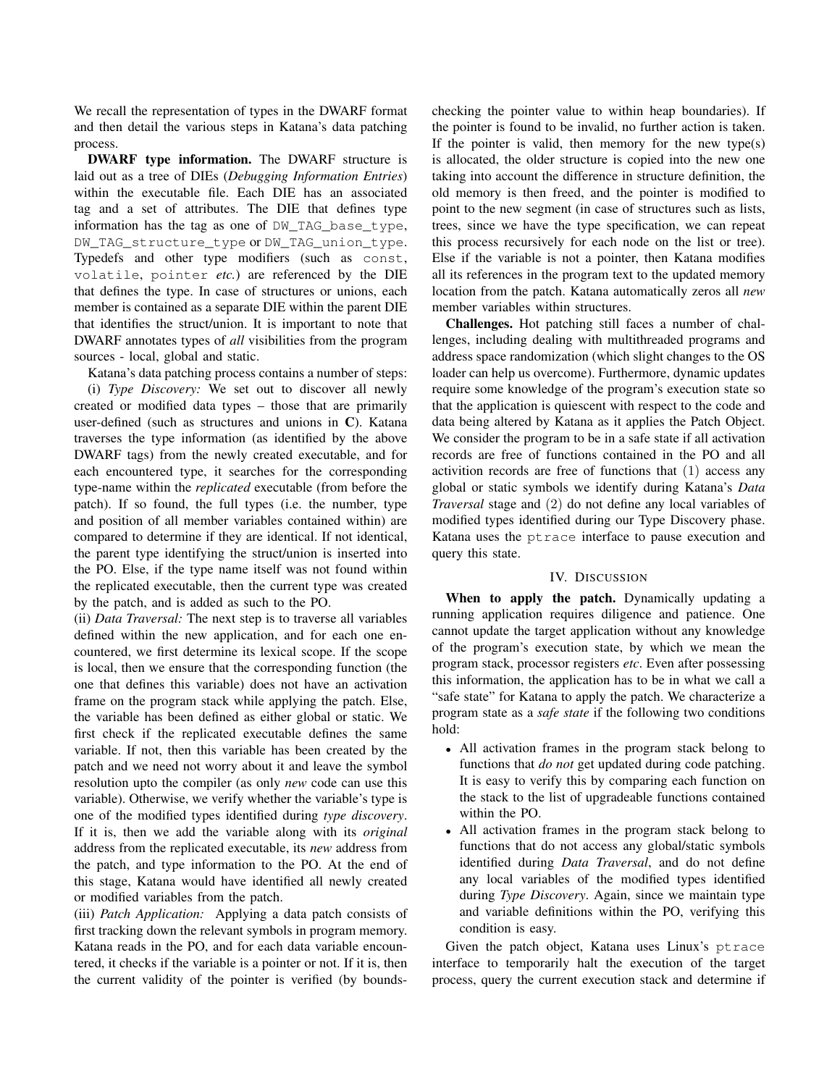We recall the representation of types in the DWARF format and then detail the various steps in Katana's data patching process.

DWARF type information. The DWARF structure is laid out as a tree of DIEs (*Debugging Information Entries*) within the executable file. Each DIE has an associated tag and a set of attributes. The DIE that defines type information has the tag as one of DW\_TAG\_base\_type, DW\_TAG\_structure\_type or DW\_TAG\_union\_type. Typedefs and other type modifiers (such as const, volatile, pointer *etc.*) are referenced by the DIE that defines the type. In case of structures or unions, each member is contained as a separate DIE within the parent DIE that identifies the struct/union. It is important to note that DWARF annotates types of *all* visibilities from the program sources - local, global and static.

Katana's data patching process contains a number of steps:

(i) *Type Discovery:* We set out to discover all newly created or modified data types – those that are primarily user-defined (such as structures and unions in C). Katana traverses the type information (as identified by the above DWARF tags) from the newly created executable, and for each encountered type, it searches for the corresponding type-name within the *replicated* executable (from before the patch). If so found, the full types (i.e. the number, type and position of all member variables contained within) are compared to determine if they are identical. If not identical, the parent type identifying the struct/union is inserted into the PO. Else, if the type name itself was not found within the replicated executable, then the current type was created by the patch, and is added as such to the PO.

(ii) *Data Traversal:* The next step is to traverse all variables defined within the new application, and for each one encountered, we first determine its lexical scope. If the scope is local, then we ensure that the corresponding function (the one that defines this variable) does not have an activation frame on the program stack while applying the patch. Else, the variable has been defined as either global or static. We first check if the replicated executable defines the same variable. If not, then this variable has been created by the patch and we need not worry about it and leave the symbol resolution upto the compiler (as only *new* code can use this variable). Otherwise, we verify whether the variable's type is one of the modified types identified during *type discovery*. If it is, then we add the variable along with its *original* address from the replicated executable, its *new* address from the patch, and type information to the PO. At the end of this stage, Katana would have identified all newly created or modified variables from the patch.

(iii) *Patch Application:* Applying a data patch consists of first tracking down the relevant symbols in program memory. Katana reads in the PO, and for each data variable encountered, it checks if the variable is a pointer or not. If it is, then the current validity of the pointer is verified (by boundschecking the pointer value to within heap boundaries). If the pointer is found to be invalid, no further action is taken. If the pointer is valid, then memory for the new type $(s)$ is allocated, the older structure is copied into the new one taking into account the difference in structure definition, the old memory is then freed, and the pointer is modified to point to the new segment (in case of structures such as lists, trees, since we have the type specification, we can repeat this process recursively for each node on the list or tree). Else if the variable is not a pointer, then Katana modifies all its references in the program text to the updated memory location from the patch. Katana automatically zeros all *new* member variables within structures.

Challenges. Hot patching still faces a number of challenges, including dealing with multithreaded programs and address space randomization (which slight changes to the OS loader can help us overcome). Furthermore, dynamic updates require some knowledge of the program's execution state so that the application is quiescent with respect to the code and data being altered by Katana as it applies the Patch Object. We consider the program to be in a safe state if all activation records are free of functions contained in the PO and all activition records are free of functions that (1) access any global or static symbols we identify during Katana's *Data Traversal* stage and (2) do not define any local variables of modified types identified during our Type Discovery phase. Katana uses the ptrace interface to pause execution and query this state.

### IV. DISCUSSION

When to apply the patch. Dynamically updating a running application requires diligence and patience. One cannot update the target application without any knowledge of the program's execution state, by which we mean the program stack, processor registers *etc*. Even after possessing this information, the application has to be in what we call a "safe state" for Katana to apply the patch. We characterize a program state as a *safe state* if the following two conditions hold:

- All activation frames in the program stack belong to functions that *do not* get updated during code patching. It is easy to verify this by comparing each function on the stack to the list of upgradeable functions contained within the PO.
- All activation frames in the program stack belong to functions that do not access any global/static symbols identified during *Data Traversal*, and do not define any local variables of the modified types identified during *Type Discovery*. Again, since we maintain type and variable definitions within the PO, verifying this condition is easy.

Given the patch object, Katana uses Linux's ptrace interface to temporarily halt the execution of the target process, query the current execution stack and determine if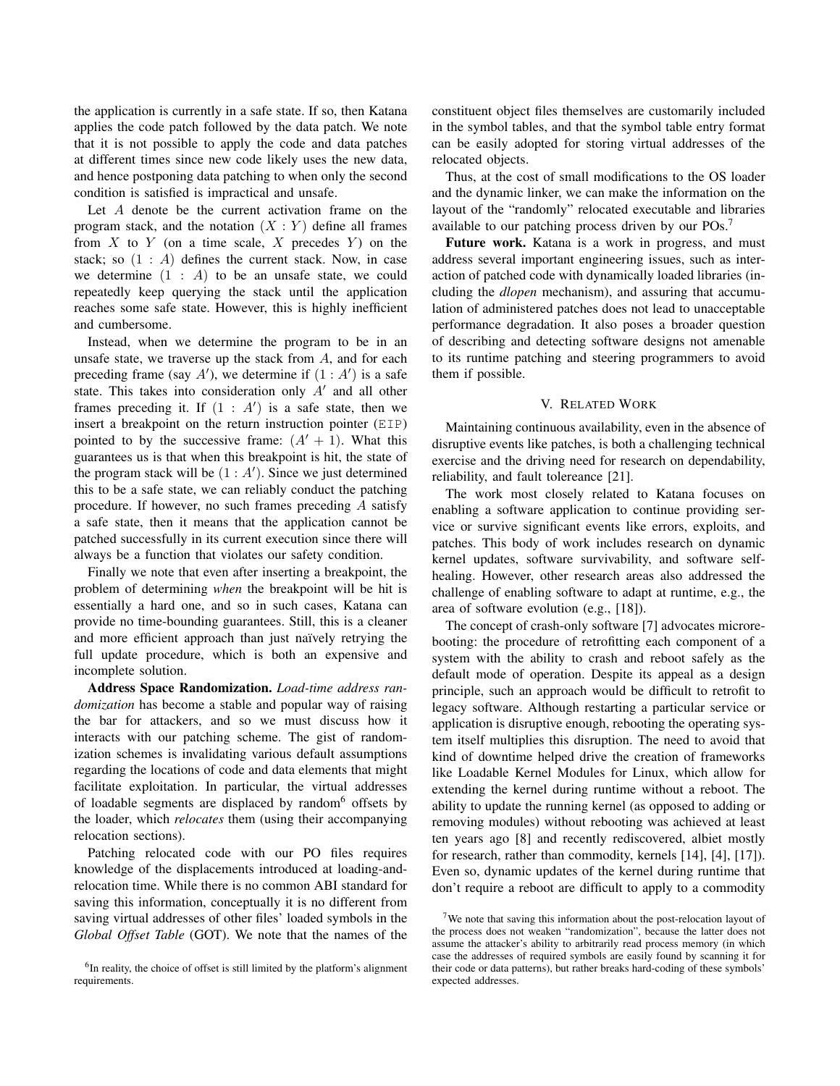the application is currently in a safe state. If so, then Katana applies the code patch followed by the data patch. We note that it is not possible to apply the code and data patches at different times since new code likely uses the new data, and hence postponing data patching to when only the second condition is satisfied is impractical and unsafe.

Let A denote be the current activation frame on the program stack, and the notation  $(X:Y)$  define all frames from X to Y (on a time scale, X precedes Y) on the stack; so  $(1 : A)$  defines the current stack. Now, in case we determine  $(1 : A)$  to be an unsafe state, we could repeatedly keep querying the stack until the application reaches some safe state. However, this is highly inefficient and cumbersome.

Instead, when we determine the program to be in an unsafe state, we traverse up the stack from A, and for each preceding frame (say  $A'$ ), we determine if  $(1 : A')$  is a safe state. This takes into consideration only  $A'$  and all other frames preceding it. If  $(1 : A')$  is a safe state, then we insert a breakpoint on the return instruction pointer (EIP) pointed to by the successive frame:  $(A' + 1)$ . What this guarantees us is that when this breakpoint is hit, the state of the program stack will be  $(1 : A')$ . Since we just determined this to be a safe state, we can reliably conduct the patching procedure. If however, no such frames preceding A satisfy a safe state, then it means that the application cannot be patched successfully in its current execution since there will always be a function that violates our safety condition.

Finally we note that even after inserting a breakpoint, the problem of determining *when* the breakpoint will be hit is essentially a hard one, and so in such cases, Katana can provide no time-bounding guarantees. Still, this is a cleaner and more efficient approach than just naïvely retrying the full update procedure, which is both an expensive and incomplete solution.

Address Space Randomization. *Load-time address randomization* has become a stable and popular way of raising the bar for attackers, and so we must discuss how it interacts with our patching scheme. The gist of randomization schemes is invalidating various default assumptions regarding the locations of code and data elements that might facilitate exploitation. In particular, the virtual addresses of loadable segments are displaced by random<sup>6</sup> offsets by the loader, which *relocates* them (using their accompanying relocation sections).

Patching relocated code with our PO files requires knowledge of the displacements introduced at loading-andrelocation time. While there is no common ABI standard for saving this information, conceptually it is no different from saving virtual addresses of other files' loaded symbols in the *Global Offset Table* (GOT). We note that the names of the constituent object files themselves are customarily included in the symbol tables, and that the symbol table entry format can be easily adopted for storing virtual addresses of the relocated objects.

Thus, at the cost of small modifications to the OS loader and the dynamic linker, we can make the information on the layout of the "randomly" relocated executable and libraries available to our patching process driven by our POs.<sup>7</sup>

Future work. Katana is a work in progress, and must address several important engineering issues, such as interaction of patched code with dynamically loaded libraries (including the *dlopen* mechanism), and assuring that accumulation of administered patches does not lead to unacceptable performance degradation. It also poses a broader question of describing and detecting software designs not amenable to its runtime patching and steering programmers to avoid them if possible.

## V. RELATED WORK

Maintaining continuous availability, even in the absence of disruptive events like patches, is both a challenging technical exercise and the driving need for research on dependability, reliability, and fault tolereance [21].

The work most closely related to Katana focuses on enabling a software application to continue providing service or survive significant events like errors, exploits, and patches. This body of work includes research on dynamic kernel updates, software survivability, and software selfhealing. However, other research areas also addressed the challenge of enabling software to adapt at runtime, e.g., the area of software evolution (e.g., [18]).

The concept of crash-only software [7] advocates microrebooting: the procedure of retrofitting each component of a system with the ability to crash and reboot safely as the default mode of operation. Despite its appeal as a design principle, such an approach would be difficult to retrofit to legacy software. Although restarting a particular service or application is disruptive enough, rebooting the operating system itself multiplies this disruption. The need to avoid that kind of downtime helped drive the creation of frameworks like Loadable Kernel Modules for Linux, which allow for extending the kernel during runtime without a reboot. The ability to update the running kernel (as opposed to adding or removing modules) without rebooting was achieved at least ten years ago [8] and recently rediscovered, albiet mostly for research, rather than commodity, kernels [14], [4], [17]). Even so, dynamic updates of the kernel during runtime that don't require a reboot are difficult to apply to a commodity

<sup>&</sup>lt;sup>6</sup>In reality, the choice of offset is still limited by the platform's alignment requirements.

<sup>&</sup>lt;sup>7</sup>We note that saving this information about the post-relocation layout of the process does not weaken "randomization", because the latter does not assume the attacker's ability to arbitrarily read process memory (in which case the addresses of required symbols are easily found by scanning it for their code or data patterns), but rather breaks hard-coding of these symbols' expected addresses.